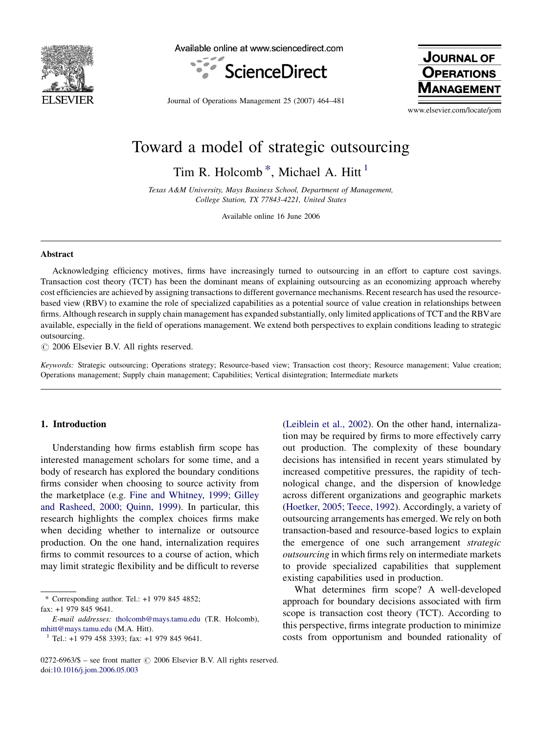

Available online at www.sciencedirect.com



**JOURNAL OF OPERATIONS NAGEMEN** 

Journal of Operations Management 25 (2007) 464–481

www.elsevier.com/locate/jom

## Toward a model of strategic outsourcing

Tim R. Holcomb<sup>\*</sup>, Michael A. Hitt<sup>1</sup>

Texas A&M University, Mays Business School, Department of Management, College Station, TX 77843-4221, United States

Available online 16 June 2006

## Abstract

Acknowledging efficiency motives, firms have increasingly turned to outsourcing in an effort to capture cost savings. Transaction cost theory (TCT) has been the dominant means of explaining outsourcing as an economizing approach whereby cost efficiencies are achieved by assigning transactions to different governance mechanisms. Recent research has used the resourcebased view (RBV) to examine the role of specialized capabilities as a potential source of value creation in relationships between firms. Although research in supply chain management has expanded substantially, only limited applications of TCT and the RBVare available, especially in the field of operations management. We extend both perspectives to explain conditions leading to strategic outsourcing.

 $\odot$  2006 Elsevier B.V. All rights reserved.

Keywords: Strategic outsourcing; Operations strategy; Resource-based view; Transaction cost theory; Resource management; Value creation; Operations management; Supply chain management; Capabilities; Vertical disintegration; Intermediate markets

## 1. Introduction

Understanding how firms establish firm scope has interested management scholars for some time, and a body of research has explored the boundary conditions firms consider when choosing to source activity from the marketplace (e.g. [Fine and Whitney, 1999; Gilley](#page--1-0) [and Rasheed, 2000; Quinn, 1999\)](#page--1-0). In particular, this research highlights the complex choices firms make when deciding whether to internalize or outsource production. On the one hand, internalization requires firms to commit resources to a course of action, which may limit strategic flexibility and be difficult to reverse

\* Corresponding author. Tel.: +1 979 845 4852; fax: +1 979 845 9641.

([Leiblein et al., 2002](#page--1-0)). On the other hand, internalization may be required by firms to more effectively carry out production. The complexity of these boundary decisions has intensified in recent years stimulated by increased competitive pressures, the rapidity of technological change, and the dispersion of knowledge across different organizations and geographic markets ([Hoetker, 2005; Teece, 1992\)](#page--1-0). Accordingly, a variety of outsourcing arrangements has emerged. We rely on both transaction-based and resource-based logics to explain the emergence of one such arrangement strategic outsourcing in which firms rely on intermediate markets to provide specialized capabilities that supplement existing capabilities used in production.

What determines firm scope? A well-developed approach for boundary decisions associated with firm scope is transaction cost theory (TCT). According to this perspective, firms integrate production to minimize costs from opportunism and bounded rationality of

E-mail addresses: [tholcomb@mays.tamu.edu](mailto:tholcomb@mays.tamu.edu) (T.R. Holcomb), [mhitt@mays.tamu.edu](mailto:mhitt@mays.tamu.edu) (M.A. Hitt).

 $1$  Tel.: +1 979 458 3393; fax: +1 979 845 9641.

 $0272-6963/\$$  – see front matter  $\odot$  2006 Elsevier B.V. All rights reserved. doi:[10.1016/j.jom.2006.05.003](http://dx.doi.org/10.1016/j.jom.2006.05.003)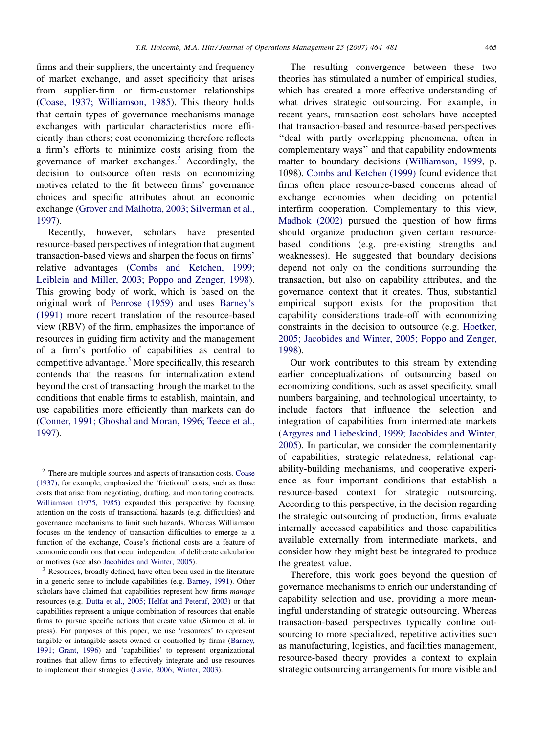firms and their suppliers, the uncertainty and frequency of market exchange, and asset specificity that arises from supplier-firm or firm-customer relationships [\(Coase, 1937; Williamson, 1985](#page--1-0)). This theory holds that certain types of governance mechanisms manage exchanges with particular characteristics more efficiently than others; cost economizing therefore reflects a firm's efforts to minimize costs arising from the governance of market exchanges. $^{2}$  Accordingly, the decision to outsource often rests on economizing motives related to the fit between firms' governance choices and specific attributes about an economic exchange [\(Grover and Malhotra, 2003; Silverman et al.,](#page--1-0)

[1997\)](#page--1-0).

Recently, however, scholars have presented resource-based perspectives of integration that augment transaction-based views and sharpen the focus on firms' relative advantages [\(Combs and Ketchen, 1999;](#page--1-0) [Leiblein and Miller, 2003; Poppo and Zenger, 1998](#page--1-0)). This growing body of work, which is based on the original work of [Penrose \(1959\)](#page--1-0) and uses [Barney's](#page--1-0) [\(1991\)](#page--1-0) more recent translation of the resource-based view (RBV) of the firm, emphasizes the importance of resources in guiding firm activity and the management of a firm's portfolio of capabilities as central to competitive advantage.<sup>3</sup> More specifically, this research contends that the reasons for internalization extend beyond the cost of transacting through the market to the conditions that enable firms to establish, maintain, and use capabilities more efficiently than markets can do [\(Conner, 1991; Ghoshal and Moran, 1996; Teece et al.,](#page--1-0) [1997\)](#page--1-0).

The resulting convergence between these two theories has stimulated a number of empirical studies, which has created a more effective understanding of what drives strategic outsourcing. For example, in recent years, transaction cost scholars have accepted that transaction-based and resource-based perspectives ''deal with partly overlapping phenomena, often in complementary ways'' and that capability endowments matter to boundary decisions ([Williamson, 1999](#page--1-0), p. 1098). [Combs and Ketchen \(1999\)](#page--1-0) found evidence that firms often place resource-based concerns ahead of exchange economies when deciding on potential interfirm cooperation. Complementary to this view, [Madhok \(2002\)](#page--1-0) pursued the question of how firms should organize production given certain resourcebased conditions (e.g. pre-existing strengths and weaknesses). He suggested that boundary decisions depend not only on the conditions surrounding the transaction, but also on capability attributes, and the governance context that it creates. Thus, substantial empirical support exists for the proposition that capability considerations trade-off with economizing constraints in the decision to outsource (e.g. [Hoetker,](#page--1-0) [2005; Jacobides and Winter, 2005; Poppo and Zenger,](#page--1-0) [1998\)](#page--1-0).

Our work contributes to this stream by extending earlier conceptualizations of outsourcing based on economizing conditions, such as asset specificity, small numbers bargaining, and technological uncertainty, to include factors that influence the selection and integration of capabilities from intermediate markets [\(Argyres and Liebeskind, 1999; Jacobides and Winter,](#page--1-0) [2005\)](#page--1-0). In particular, we consider the complementarity of capabilities, strategic relatedness, relational capability-building mechanisms, and cooperative experience as four important conditions that establish a resource-based context for strategic outsourcing. According to this perspective, in the decision regarding the strategic outsourcing of production, firms evaluate internally accessed capabilities and those capabilities available externally from intermediate markets, and consider how they might best be integrated to produce the greatest value.

Therefore, this work goes beyond the question of governance mechanisms to enrich our understanding of capability selection and use, providing a more meaningful understanding of strategic outsourcing. Whereas transaction-based perspectives typically confine outsourcing to more specialized, repetitive activities such as manufacturing, logistics, and facilities management, resource-based theory provides a context to explain strategic outsourcing arrangements for more visible and

<sup>2</sup> There are multiple sources and aspects of transaction costs. [Coase](#page--1-0) [\(1937\)](#page--1-0), for example, emphasized the 'frictional' costs, such as those costs that arise from negotiating, drafting, and monitoring contracts. [Williamson \(1975, 1985\)](#page--1-0) expanded this perspective by focusing attention on the costs of transactional hazards (e.g. difficulties) and governance mechanisms to limit such hazards. Whereas Williamson focuses on the tendency of transaction difficulties to emerge as a function of the exchange, Coase's frictional costs are a feature of economic conditions that occur independent of deliberate calculation or motives (see also [Jacobides and Winter, 2005\)](#page--1-0).<br><sup>3</sup> Resources, broadly defined, have often been used in the literature

in a generic sense to include capabilities (e.g. [Barney, 1991](#page--1-0)). Other scholars have claimed that capabilities represent how firms manage resources (e.g. [Dutta et al., 2005; Helfat and Peteraf, 2003\)](#page--1-0) or that capabilities represent a unique combination of resources that enable firms to pursue specific actions that create value (Sirmon et al. in press). For purposes of this paper, we use 'resources' to represent tangible or intangible assets owned or controlled by firms ([Barney,](#page--1-0) [1991; Grant, 1996\)](#page--1-0) and 'capabilities' to represent organizational routines that allow firms to effectively integrate and use resources to implement their strategies [\(Lavie, 2006; Winter, 2003\)](#page--1-0).